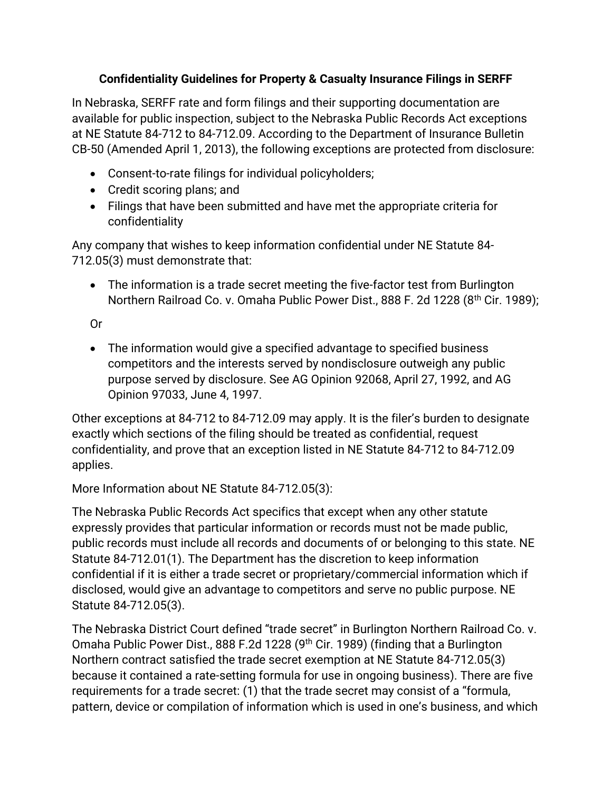## **Confidentiality Guidelines for Property & Casualty Insurance Filings in SERFF**

In Nebraska, SERFF rate and form filings and their supporting documentation are available for public inspection, subject to the Nebraska Public Records Act exceptions at NE Statute 84-712 to 84-712.09. According to the Department of Insurance Bulletin CB-50 (Amended April 1, 2013), the following exceptions are protected from disclosure:

- Consent-to-rate filings for individual policyholders;
- Credit scoring plans; and
- Filings that have been submitted and have met the appropriate criteria for confidentiality

Any company that wishes to keep information confidential under NE Statute 84- 712.05(3) must demonstrate that:

• The information is a trade secret meeting the five-factor test from Burlington Northern Railroad Co. v. Omaha Public Power Dist., 888 F. 2d 1228 (8th Cir. 1989);

Or

• The information would give a specified advantage to specified business competitors and the interests served by nondisclosure outweigh any public purpose served by disclosure. See AG Opinion 92068, April 27, 1992, and AG Opinion 97033, June 4, 1997.

Other exceptions at 84-712 to 84-712.09 may apply. It is the filer's burden to designate exactly which sections of the filing should be treated as confidential, request confidentiality, and prove that an exception listed in NE Statute 84-712 to 84-712.09 applies.

More Information about NE Statute 84-712.05(3):

The Nebraska Public Records Act specifics that except when any other statute expressly provides that particular information or records must not be made public, public records must include all records and documents of or belonging to this state. NE Statute 84-712.01(1). The Department has the discretion to keep information confidential if it is either a trade secret or proprietary/commercial information which if disclosed, would give an advantage to competitors and serve no public purpose. NE Statute 84-712.05(3).

The Nebraska District Court defined "trade secret" in Burlington Northern Railroad Co. v. Omaha Public Power Dist., 888 F.2d 1228 (9<sup>th</sup> Cir. 1989) (finding that a Burlington Northern contract satisfied the trade secret exemption at NE Statute 84-712.05(3) because it contained a rate-setting formula for use in ongoing business). There are five requirements for a trade secret: (1) that the trade secret may consist of a "formula, pattern, device or compilation of information which is used in one's business, and which